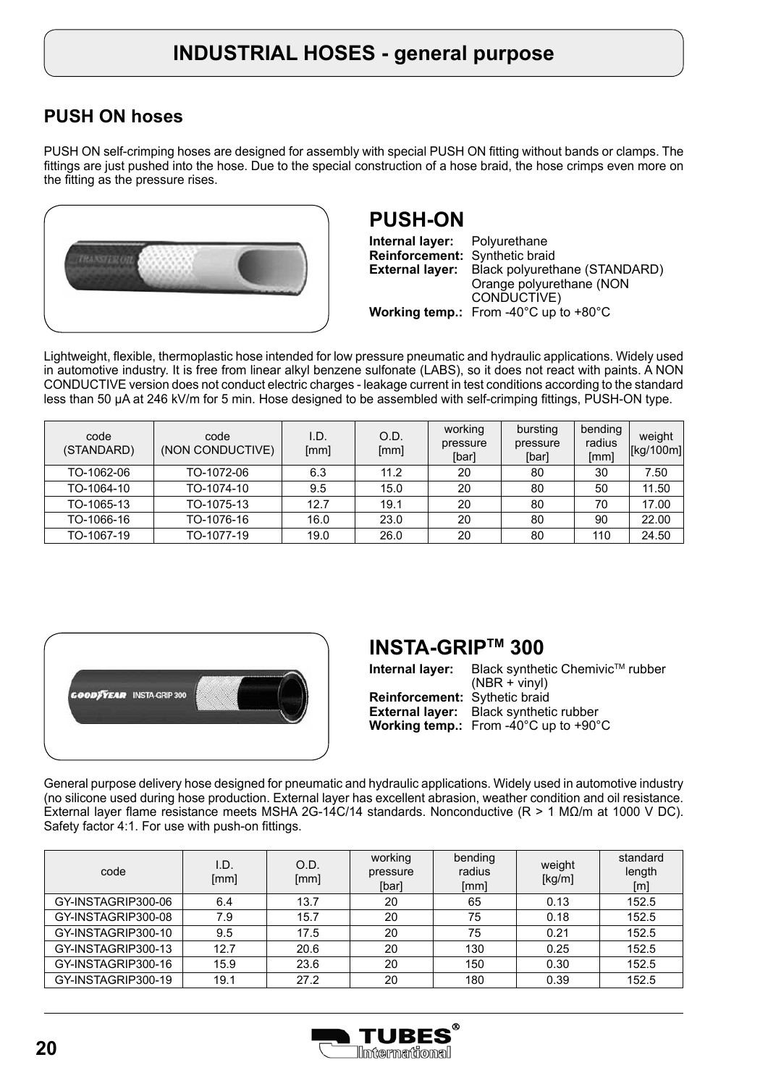## **PUSH ON hoses**

PUSH ON self-crimping hoses are designed for assembly with special PUSH ON fitting without bands or clamps. The fittings are just pushed into the hose. Due to the special construction of a hose braid, the hose crimps even more on the fitting as the pressure rises.



## **PUSH-ON**

**Internal layer: Reinforcement:** Synthetic braid **External layer: Working temp.:** From -40°C up to +80°C Polyurethane Black polyurethane (STANDARD) Orange polyurethane (NON CONDUCTIVE)

Lightweight, flexible, thermoplastic hose intended for low pressure pneumatic and hydraulic applications. Widely used in automotive industry. It is free from linear alkyl benzene sulfonate (LABS), so it does not react with paints. A NON CONDUCTIVE version does not conduct electric charges - leakage current in test conditions according to the standard less than 50 μA at 246 kV/m for 5 min. Hose designed to be assembled with self-crimping fittings, PUSH-ON type.

| code<br>(STANDARD) | code<br>(NON CONDUCTIVE) | I.D.<br>[mm] | O.D.<br>[mm] | working<br>pressure<br>[bar] | bursting<br>pressure<br>[bar] | bending<br>radius<br>[mm] | weight<br>[kg/100m] |
|--------------------|--------------------------|--------------|--------------|------------------------------|-------------------------------|---------------------------|---------------------|
| TO-1062-06         | TO-1072-06               | 6.3          | 11.2         | 20                           | 80                            | 30                        | 7.50                |
| TO-1064-10         | TO-1074-10               | 9.5          | 15.0         | 20                           | 80                            | 50                        | 11.50               |
| TO-1065-13         | TO-1075-13               | 12.7         | 19.1         | 20                           | 80                            | 70                        | 17.00               |
| TO-1066-16         | TO-1076-16               | 16.0         | 23.0         | 20                           | 80                            | 90                        | 22.00               |
| TO-1067-19         | TO-1077-19               | 19.0         | 26.0         | 20                           | 80                            | 110                       | 24.50               |



## **INSTA-GRIPTM 300**

| Internal layer:                      | Black synthetic Chemivic™ rubber<br>$(NBR + viny)$                                                                  |
|--------------------------------------|---------------------------------------------------------------------------------------------------------------------|
| <b>Reinforcement:</b> Sythetic braid | <b>External layer:</b> Black synthetic rubber<br><b>Working temp.:</b> From -40 $^{\circ}$ C up to +90 $^{\circ}$ C |

General purpose delivery hose designed for pneumatic and hydraulic applications. Widely used in automotive industry (no silicone used during hose production. External layer has excellent abrasion, weather condition and oil resistance. External layer flame resistance meets MSHA 2G-14C/14 standards. Nonconductive (R > 1 MΩ/m at 1000 V DC). Safety factor 4:1. For use with push-on fittings.

| code               | I.D.<br>[mm] | O.D.<br>[mm] | working<br>pressure<br>[bar] | bending<br>radius<br>[mm] | weight<br>[kg/m] | standard<br>length<br>[m] |
|--------------------|--------------|--------------|------------------------------|---------------------------|------------------|---------------------------|
| GY-INSTAGRIP300-06 | 6.4          | 13.7         | 20                           | 65                        | 0.13             | 152.5                     |
| GY-INSTAGRIP300-08 | 7.9          | 15.7         | 20                           | 75                        | 0.18             | 152.5                     |
| GY-INSTAGRIP300-10 | 9.5          | 17.5         | 20                           | 75                        | 0.21             | 152.5                     |
| GY-INSTAGRIP300-13 | 12.7         | 20.6         | 20                           | 130                       | 0.25             | 152.5                     |
| GY-INSTAGRIP300-16 | 15.9         | 23.6         | 20                           | 150                       | 0.30             | 152.5                     |
| GY-INSTAGRIP300-19 | 19.1         | 27.2         | 20                           | 180                       | 0.39             | 152.5                     |

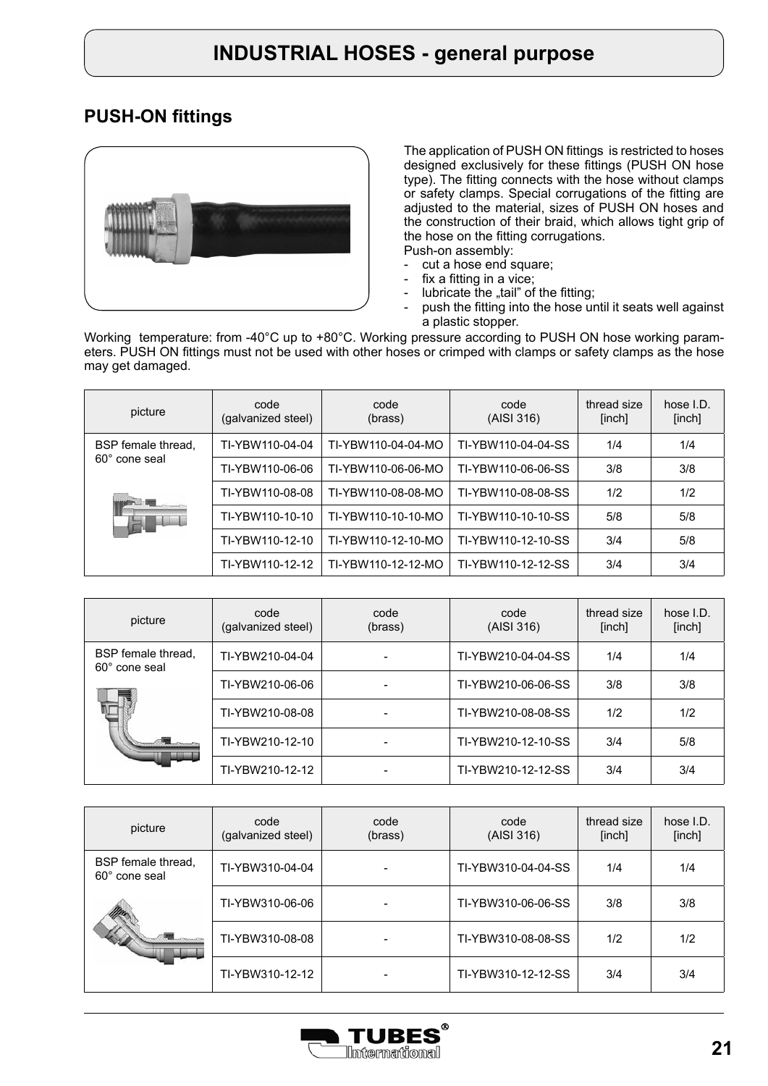#### **PUSH-ON fittings**



The application of PUSH ON fittings is restricted to hoses designed exclusively for these fittings (PUSH ON hose type). The fitting connects with the hose without clamps or safety clamps. Special corrugations of the fitting are adjusted to the material, sizes of PUSH ON hoses and the construction of their braid, which allows tight grip of the hose on the fitting corrugations. Push-on assembly:

- 
- cut a hose end square;<br>- fix a fitting in a vice; fix a fitting in a vice;
- lubricate the "tail" of the fitting;
- push the fitting into the hose until it seats well against a plastic stopper.

Working temperature: from -40°C up to +80°C. Working pressure according to PUSH ON hose working parameters. PUSH ON fittings must not be used with other hoses or crimped with clamps or safety clamps as the hose may get damaged.

| picture                           | code<br>(galvanized steel) | code<br>(brass)    | code<br>(AISI 316) | thread size<br>[inch] | hose I.D.<br>[inch] |
|-----------------------------------|----------------------------|--------------------|--------------------|-----------------------|---------------------|
| BSP female thread,                | TI-YBW110-04-04            | TI-YBW110-04-04-MO | TI-YBW110-04-04-SS | 1/4                   | 1/4                 |
| 60° cone seal                     | TI-YBW110-06-06            | TI-YBW110-06-06-MO | TI-YBW110-06-06-SS | 3/8                   | 3/8                 |
|                                   | TI-YBW110-08-08            | TI-YBW110-08-08-MO | TI-YBW110-08-08-SS | 1/2                   | 1/2                 |
| <b>The Company of the Company</b> | TI-YBW110-10-10            | TI-YBW110-10-10-MO | TI-YBW110-10-10-SS | 5/8                   | 5/8                 |
|                                   | TI-YBW110-12-10            | TI-YBW110-12-10-MO | TI-YBW110-12-10-SS | 3/4                   | 5/8                 |
|                                   | TI-YBW110-12-12            | TI-YBW110-12-12-MO | TI-YBW110-12-12-SS | 3/4                   | 3/4                 |

| picture                             | code<br>(galvanized steel) | code<br>(brass) | code<br>(AISI 316) | thread size<br>[inch] | hose I.D.<br>[inch] |
|-------------------------------------|----------------------------|-----------------|--------------------|-----------------------|---------------------|
| BSP female thread,<br>60° cone seal | TI-YBW210-04-04            |                 | TI-YBW210-04-04-SS | 1/4                   | 1/4                 |
|                                     | TI-YBW210-06-06            |                 | TI-YBW210-06-06-SS | 3/8                   | 3/8                 |
|                                     | TI-YBW210-08-08            |                 | TI-YBW210-08-08-SS | 1/2                   | 1/2                 |
|                                     | TI-YBW210-12-10            |                 | TI-YBW210-12-10-SS | 3/4                   | 5/8                 |
|                                     | TI-YBW210-12-12            |                 | TI-YBW210-12-12-SS | 3/4                   | 3/4                 |

| picture                             | code<br>(galvanized steel) | code<br>(brass) | code<br>(AISI 316) | thread size<br>[inch] | hose I.D.<br>[inch] |
|-------------------------------------|----------------------------|-----------------|--------------------|-----------------------|---------------------|
| BSP female thread,<br>60° cone seal | TI-YBW310-04-04            |                 | TI-YBW310-04-04-SS | 1/4                   | 1/4                 |
|                                     | TI-YBW310-06-06            |                 | TI-YBW310-06-06-SS | 3/8                   | 3/8                 |
|                                     | TI-YBW310-08-08            |                 | TI-YBW310-08-08-SS | 1/2                   | 1/2                 |
|                                     | TI-YBW310-12-12            |                 | TI-YBW310-12-12-SS | 3/4                   | 3/4                 |

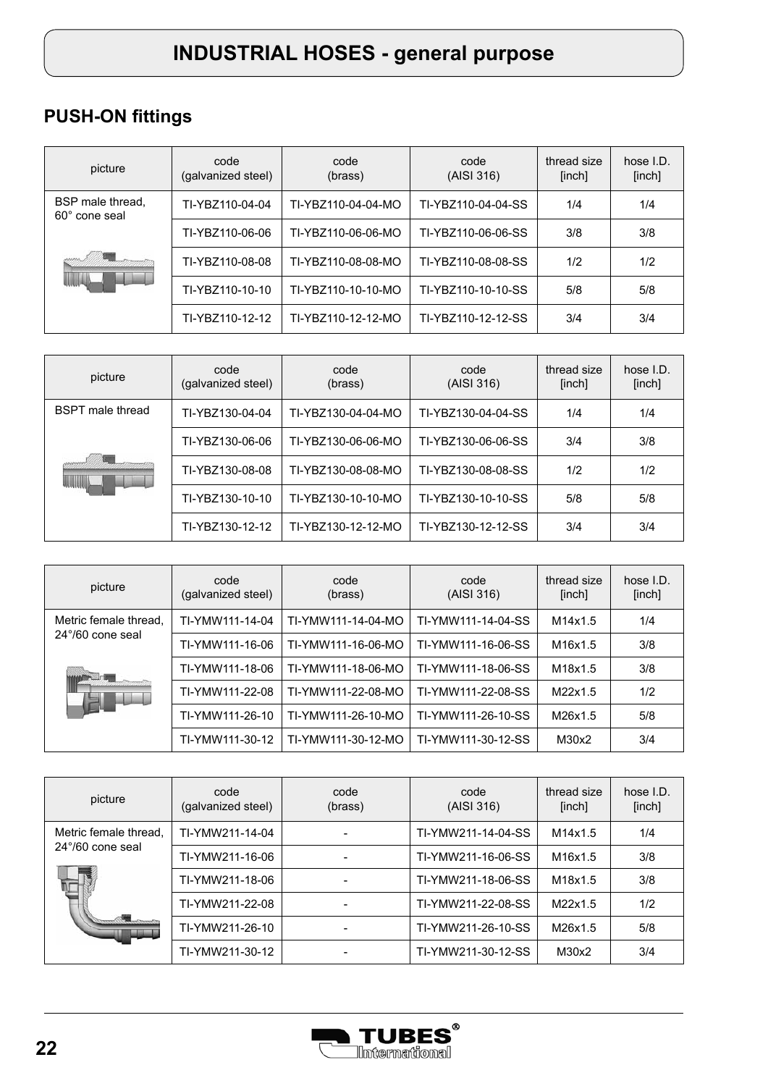# **PUSH-ON fittings**

| picture                           | code<br>(galvanized steel) | code<br>(brass)    | code<br>(AISI 316) | thread size<br>[inch] | hose $I.D.$<br>[inch] |
|-----------------------------------|----------------------------|--------------------|--------------------|-----------------------|-----------------------|
| BSP male thread.<br>60° cone seal | TI-YBZ110-04-04            | TI-YBZ110-04-04-MO | TI-YBZ110-04-04-SS | 1/4                   | 1/4                   |
|                                   | TI-YBZ110-06-06            | TI-YBZ110-06-06-MO | TI-YBZ110-06-06-SS | 3/8                   | 3/8                   |
|                                   | TI-YBZ110-08-08            | TI-YBZ110-08-08-MO | TI-YBZ110-08-08-SS | 1/2                   | 1/2                   |
|                                   | TI-YBZ110-10-10            | TI-YBZ110-10-10-MO | TI-YBZ110-10-10-SS | 5/8                   | 5/8                   |
|                                   | TI-YBZ110-12-12            | TI-YBZ110-12-12-MO | TI-YBZ110-12-12-SS | 3/4                   | 3/4                   |

| picture                 | code<br>(galvanized steel) | code<br>(brass)    | code<br>(AISI 316) | thread size<br>[inch] | hose $I.D.$<br>[inch] |
|-------------------------|----------------------------|--------------------|--------------------|-----------------------|-----------------------|
| <b>BSPT</b> male thread | TI-YBZ130-04-04            | TI-YBZ130-04-04-MO | TI-YBZ130-04-04-SS | 1/4                   | 1/4                   |
|                         | TI-YBZ130-06-06            | TI-YBZ130-06-06-MO | TI-YBZ130-06-06-SS | 3/4                   | 3/8                   |
|                         | TI-YBZ130-08-08            | TI-YBZ130-08-08-MO | TI-YBZ130-08-08-SS | 1/2                   | 1/2                   |
|                         | TI-YBZ130-10-10            | TI-YBZ130-10-10-MO | TI-YBZ130-10-10-SS | 5/8                   | 5/8                   |
|                         | TI-YBZ130-12-12            | TI-YBZ130-12-12-MO | TI-YBZ130-12-12-SS | 3/4                   | 3/4                   |

| picture                   | code<br>(galvanized steel) | code<br>(brass)    | code<br>(AISI 316) | thread size<br>[inch] | hose I.D.<br>[inch] |
|---------------------------|----------------------------|--------------------|--------------------|-----------------------|---------------------|
| Metric female thread,     | TI-YMW111-14-04            | TI-YMW111-14-04-MO | TI-YMW111-14-04-SS | M14x1.5               | 1/4                 |
| $24^{\circ}/60$ cone seal | TI-YMW111-16-06            | TI-YMW111-16-06-MO | TI-YMW111-16-06-SS | M16x1.5               | 3/8                 |
|                           | TI-YMW111-18-06            | TI-YMW111-18-06-MO | TI-YMW111-18-06-SS | M18x1.5               | 3/8                 |
|                           | TI-YMW111-22-08            | TI-YMW111-22-08-MO | TI-YMW111-22-08-SS | M22x1.5               | 1/2                 |
|                           | TI-YMW111-26-10            | TI-YMW111-26-10-MO | TI-YMW111-26-10-SS | M26x1.5               | 5/8                 |
|                           | TI-YMW111-30-12            | TI-YMW111-30-12-MO | TI-YMW111-30-12-SS | M30x2                 | 3/4                 |

| picture                   | code<br>(galvanized steel) | code<br>(brass) | code<br>(AISI 316) | thread size<br>[inch] | hose I.D.<br>[inch] |
|---------------------------|----------------------------|-----------------|--------------------|-----------------------|---------------------|
| Metric female thread,     | TI-YMW211-14-04            |                 | TI-YMW211-14-04-SS | M14x1.5               | 1/4                 |
| $24^{\circ}/60$ cone seal | TI-YMW211-16-06            |                 | TI-YMW211-16-06-SS | M16x1.5               | 3/8                 |
|                           | TI-YMW211-18-06            |                 | TI-YMW211-18-06-SS | M18x1.5               | 3/8                 |
|                           | TI-YMW211-22-08            |                 | TI-YMW211-22-08-SS | M22x1.5               | 1/2                 |
|                           | TI-YMW211-26-10            |                 | TI-YMW211-26-10-SS | M26x1.5               | 5/8                 |
|                           | TI-YMW211-30-12            |                 | TI-YMW211-30-12-SS | M30x2                 | 3/4                 |